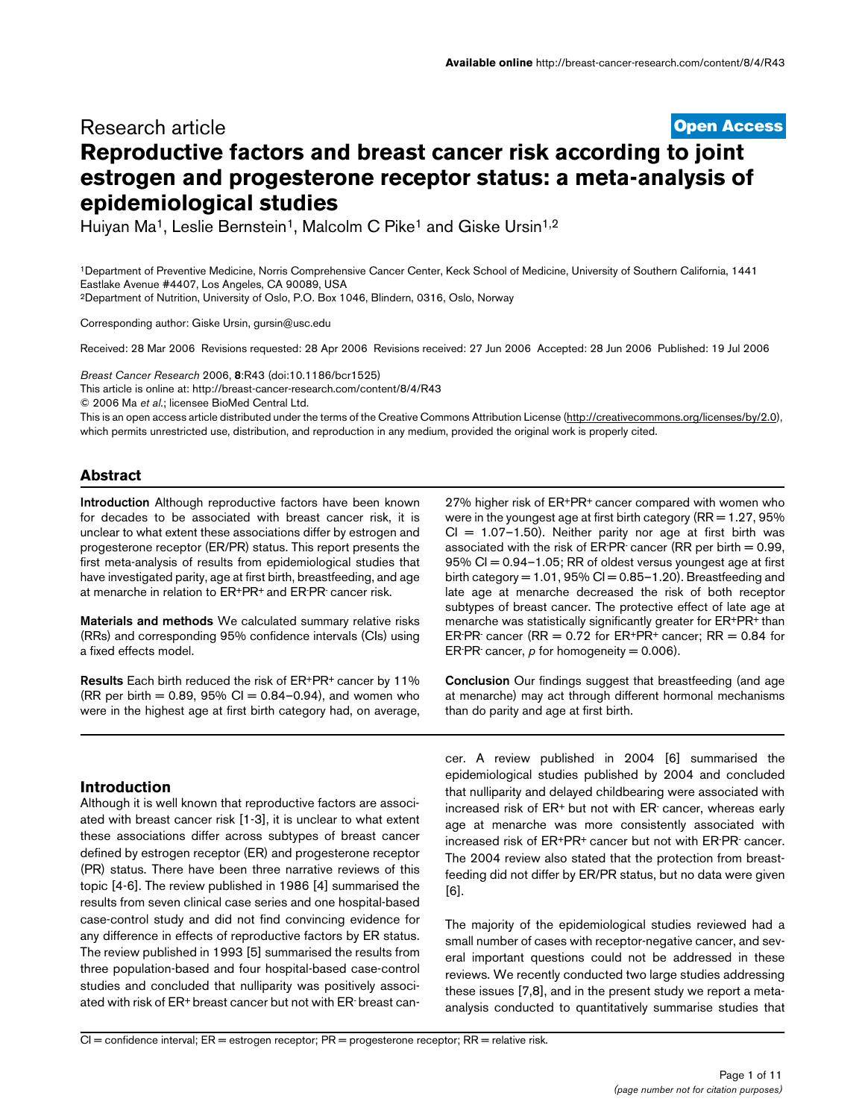# **[Open Access](http://www.biomedcentral.com/info/about/charter/)** Research article **Reproductive factors and breast cancer risk according to joint estrogen and progesterone receptor status: a meta-analysis of epidemiological studies**

Huiyan Ma<sup>1</sup>, Leslie Bernstein<sup>1</sup>, Malcolm C Pike<sup>1</sup> and Giske Ursin<sup>1,2</sup>

1Department of Preventive Medicine, Norris Comprehensive Cancer Center, Keck School of Medicine, University of Southern California, 1441 Eastlake Avenue #4407, Los Angeles, CA 90089, USA

2Department of Nutrition, University of Oslo, P.O. Box 1046, Blindern, 0316, Oslo, Norway

Corresponding author: Giske Ursin, gursin@usc.ed[u](http://www.ncbi.nlm.nih.gov/entrez/query.fcgi?cmd=Retrieve&db=PubMed&dopt=Abstract&list_uids=16859501)

Received: 28 Mar 2006 Revisions requested: 28 Apr 2006 Revisions received: 27 Jun 2006 Accepted: 28 Jun 2006 Published: 19 Jul 2006

*Breast Cancer Research* 2006, **8**:R43 (doi:10.1186/bcr1525)

[This article is online at: http://breast-cancer-research.com/content/8/4/R43](http://breast-cancer-research.com/content/8/4/R43)

© 2006 Ma *et al*.; licensee BioMed Central Ltd.

This is an open access article distributed under the terms of the Creative Commons Attribution License [\(http://creativecommons.org/licenses/by/2.0\)](http://creativecommons.org/licenses/by/2.0), which permits unrestricted use, distribution, and reproduction in any medium, provided the original work is properly cited.

# **Abstract**

**Introduction** Although reproductive factors have been known for decades to be associated with breast cancer risk, it is unclear to what extent these associations differ by estrogen and progesterone receptor (ER/PR) status. This report presents the first meta-analysis of results from epidemiological studies that have investigated parity, age at first birth, breastfeeding, and age at menarche in relation to ER+PR+ and ER-PR- cancer risk.

**Materials and methods** We calculated summary relative risks (RRs) and corresponding 95% confidence intervals (CIs) using a fixed effects model.

**Results** Each birth reduced the risk of ER+PR+ cancer by 11%  $(RR$  per birth = 0.89, 95% CI = 0.84–0.94), and women who were in the highest age at first birth category had, on average,

**Introduction**

Although it is well known that reproductive factors are associated with breast cancer risk [1-3], it is unclear to what extent these associations differ across subtypes of breast cancer defined by estrogen receptor (ER) and progesterone receptor (PR) status. There have been three narrative reviews of this topic [4-6]. The review published in 1986 [4] summarised the results from seven clinical case series and one hospital-based case-control study and did not find convincing evidence for any difference in effects of reproductive factors by ER status. The review published in 1993 [5] summarised the results from three population-based and four hospital-based case-control studies and concluded that nulliparity was positively associated with risk of ER+ breast cancer but not with ER- breast can-

27% higher risk of ER+PR+ cancer compared with women who were in the youngest age at first birth category ( $RR = 1.27$ ,  $95\%$  $CI = 1.07 - 1.50$ . Neither parity nor age at first birth was associated with the risk of ER-PR- cancer (RR per birth = 0.99, 95% CI = 0.94–1.05; RR of oldest versus youngest age at first birth category  $= 1.01$ , 95% CI  $= 0.85 - 1.20$ ). Breastfeeding and late age at menarche decreased the risk of both receptor subtypes of breast cancer. The protective effect of late age at menarche was statistically significantly greater for ER+PR+ than ER-PR- cancer (RR = 0.72 for ER+PR+ cancer; RR = 0.84 for ER<sup>-</sup>PR<sup>-</sup> cancer,  $\rho$  for homogeneity = 0.006).

**Conclusion** Our findings suggest that breastfeeding (and age at menarche) may act through different hormonal mechanisms than do parity and age at first birth.

cer. A review published in 2004 [6] summarised the epidemiological studies published by 2004 and concluded that nulliparity and delayed childbearing were associated with increased risk of ER+ but not with ER cancer, whereas early age at menarche was more consistently associated with increased risk of ER+PR+ cancer but not with ER-PR- cancer. The 2004 review also stated that the protection from breastfeeding did not differ by ER/PR status, but no data were given [6].

The majority of the epidemiological studies reviewed had a small number of cases with receptor-negative cancer, and several important questions could not be addressed in these reviews. We recently conducted two large studies addressing these issues [7,8], and in the present study we report a metaanalysis conducted to quantitatively summarise studies that

CI = confidence interval; ER = estrogen receptor; PR = progesterone receptor; RR = relative risk.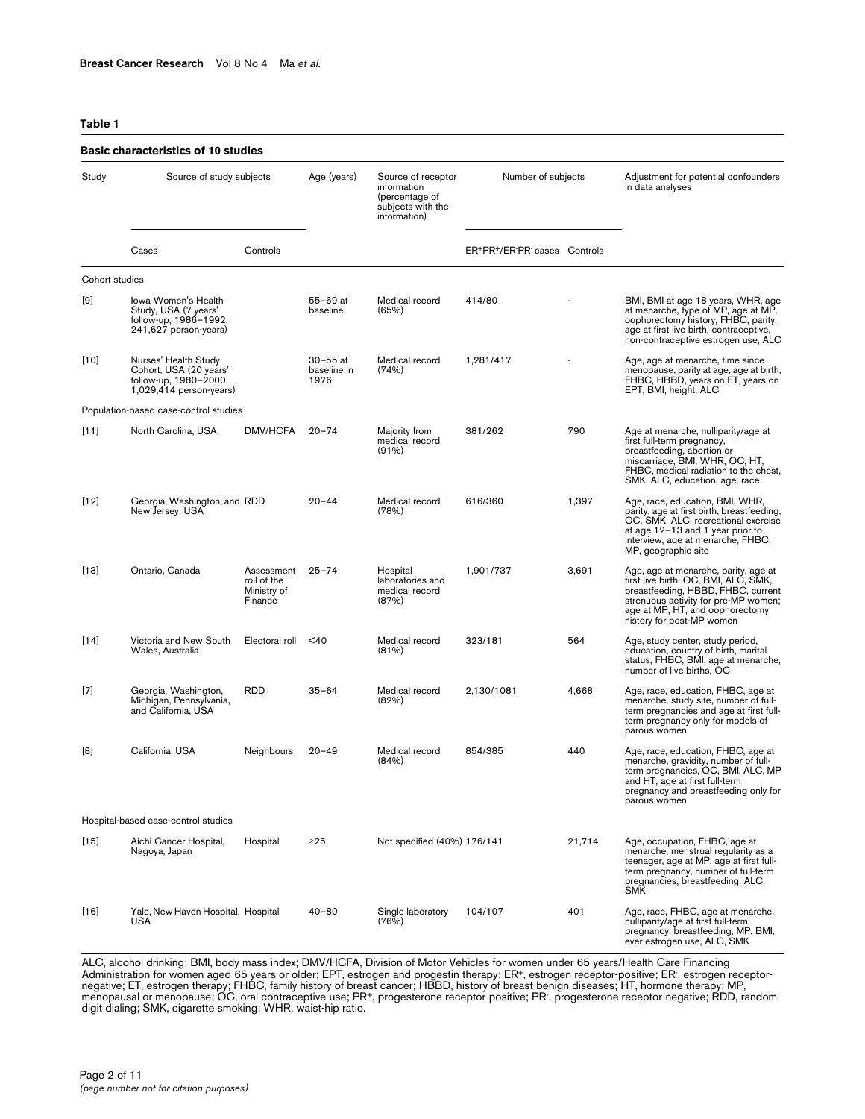#### **Table 1**

|                | <b>Basic characteristics of 10 studies</b>                                                           |                                                     |                                     |                                                                                          |                             |        |                                                                                                                                                                                                                            |
|----------------|------------------------------------------------------------------------------------------------------|-----------------------------------------------------|-------------------------------------|------------------------------------------------------------------------------------------|-----------------------------|--------|----------------------------------------------------------------------------------------------------------------------------------------------------------------------------------------------------------------------------|
| Study          | Source of study subjects                                                                             |                                                     | Age (years)                         | Source of receptor<br>information<br>(percentage of<br>subjects with the<br>information) | Number of subjects          |        | Adjustment for potential confounders<br>in data analyses                                                                                                                                                                   |
|                | Cases                                                                                                | Controls                                            |                                     |                                                                                          | ER+PR+/ER-PR-cases Controls |        |                                                                                                                                                                                                                            |
| Cohort studies |                                                                                                      |                                                     |                                     |                                                                                          |                             |        |                                                                                                                                                                                                                            |
| [9]            | Iowa Women's Health<br>Study, USA (7 years'<br>follow-up, 1986-1992,<br>241,627 person-years)        |                                                     | 55-69 at<br>baseline                | Medical record<br>(65%)                                                                  | 414/80                      |        | BMI, BMI at age 18 years, WHR, age<br>at menarche, type of MP, age at MP,<br>oophorectomy history, FHBC, parity,<br>age at first live birth, contraceptive,<br>non-contraceptive estrogen use, ALC                         |
| $[10]$         | Nurses' Health Study<br>Cohort, USA (20 years'<br>follow-up, 1980-2000,<br>$1,029,414$ person-years) |                                                     | $30 - 55$ at<br>baseline in<br>1976 | Medical record<br>(74%)                                                                  | 1,281/417                   |        | Age, age at menarche, time since<br>menopause, parity at age, age at birth,<br>FHBC, HBBD, years on ET, years on<br>EPT, BMI, height, ALC                                                                                  |
|                | Population-based case-control studies                                                                |                                                     |                                     |                                                                                          |                             |        |                                                                                                                                                                                                                            |
| [11]           | North Carolina, USA                                                                                  | <b>DMV/HCFA</b>                                     | $20 - 74$                           | Majority from<br>medical record<br>(91%)                                                 | 381/262                     | 790    | Age at menarche, nulliparity/age at<br>first full-term pregnancy,<br>breastfeeding, abortion or<br>miscarriage, BMI, WHR, OC, HT,<br>FHBC, medical radiation to the chest,<br>SMK, ALC, education, age, race               |
| $[12]$         | Georgia, Washington, and RDD<br>New Jersey, USA                                                      |                                                     | $20 - 44$                           | Medical record<br>(78%)                                                                  | 616/360                     | 1,397  | Age, race, education, BMI, WHR,<br>parity, age at first birth, breastfeeding,<br>OC, SMK, ALC, recreational exercise<br>at age 12-13 and 1 year prior to<br>interview, age at menarche, FHBC,<br>MP, geographic site       |
| $[13]$         | Ontario, Canada                                                                                      | Assessment<br>roll of the<br>Ministry of<br>Finance | $25 - 74$                           | Hospital<br>laboratories and<br>medical record<br>(87%)                                  | 1,901/737                   | 3,691  | Age, age at menarche, parity, age at<br>first live birth, OC, BMI, ALC, SMK,<br>breastfeeding, HBBD, FHBC, current<br>strenuous activity for pre-MP women;<br>age at MP, HT, and oophorectomy<br>history for post-MP women |
| $[14]$         | Victoria and New South<br>Wales, Australia                                                           | Electoral roll                                      | $40$                                | Medical record<br>(81%)                                                                  | 323/181                     | 564    | Age, study center, study period,<br>education, country of birth, marital<br>status, FHBC, BMI, age at menarche,<br>number of live births, OC                                                                               |
| $[7]$          | Georgia, Washington,<br>Michigan, Pennsylvania,<br>and California, USA                               | <b>RDD</b>                                          | $35 - 64$                           | Medical record<br>(82%)                                                                  | 2,130/1081                  | 4,668  | Age, race, education, FHBC, age at<br>menarche, study site, number of full-<br>term pregnancies and age at first full-<br>term pregnancy only for models of<br>parous women                                                |
| [8]            | California, USA                                                                                      | Neighbours                                          | $20 - 49$                           | Medical record<br>(84%)                                                                  | 854/385                     | 440    | Age, race, education, FHBC, age at<br>menarche, gravidity, number of full-<br>term pregnancies, OC, BMI, ALC, MP<br>and HT, age at first full-term<br>pregnancy and breastfeeding only for<br>parous women                 |
|                | Hospital-based case-control studies                                                                  |                                                     |                                     |                                                                                          |                             |        |                                                                                                                                                                                                                            |
| $[15]$         | Aichi Cancer Hospital,<br>Nagoya, Japan                                                              | Hospital                                            | $\geq$ 25                           | Not specified (40%) 176/141                                                              |                             | 21,714 | Age, occupation, FHBC, age at<br>menarche, menstrual regularity as a<br>teenager, age at MP, age at first full-<br>term pregnancy, number of full-term<br>pregnancies, breastfeeding, ALC,<br><b>SMK</b>                   |
| $[16]$         | Yale, New Haven Hospital, Hospital<br><b>USA</b>                                                     |                                                     | $40 - 80$                           | Single laboratory<br>(76%)                                                               | 104/107                     | 401    | Age, race, FHBC, age at menarche,<br>nulliparity/age at first full-term<br>pregnancy, breastfeeding, MP, BMI,<br>ever estrogen use, ALC, SMK                                                                               |

ALC, alcohol drinking; BMI, body mass index; DMV/HCFA, Division of Motor Vehicles for women under 65 years/Health Care Financing<br>Administration for women aged 65 years or older; EPT, estrogen and progestin therapy; ER+, es digit dialing; SMK, cigarette smoking; WHR, waist-hip ratio.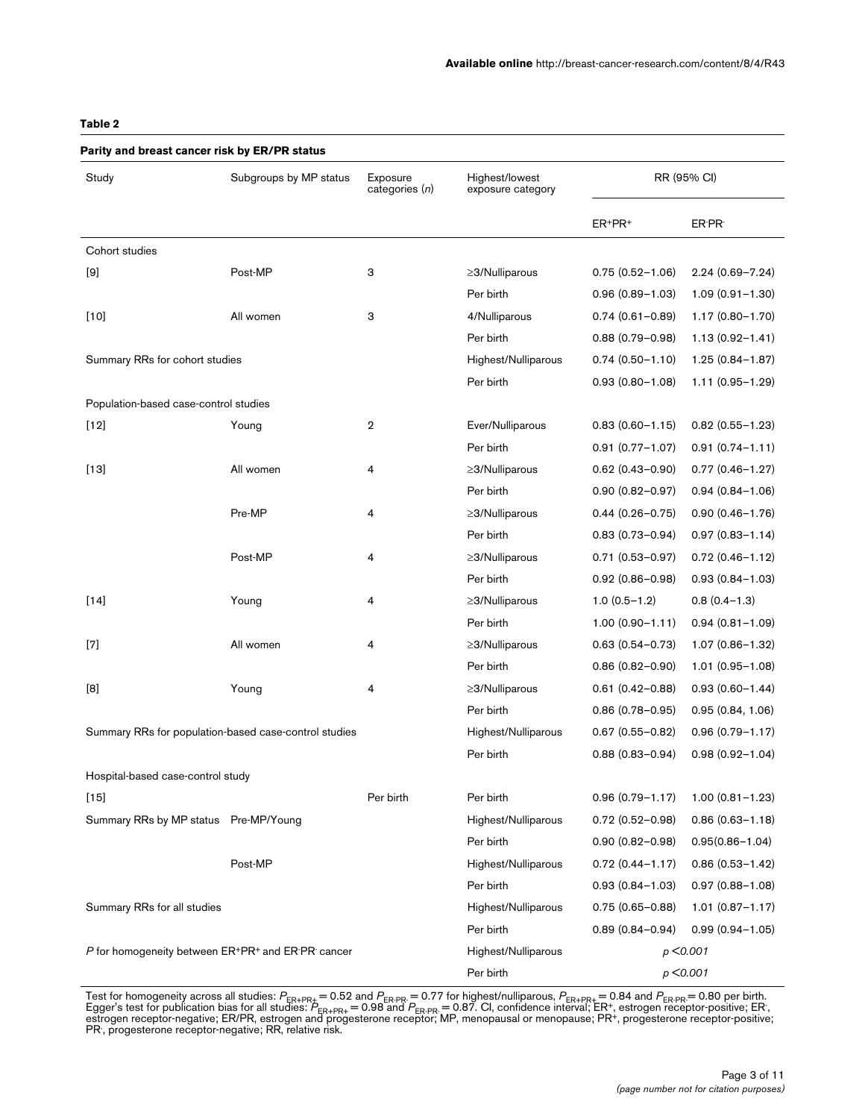# **Table 2**

| Parity and breast cancer risk by ER/PR status         |                        |                            |                                     |                     |                     |  |  |
|-------------------------------------------------------|------------------------|----------------------------|-------------------------------------|---------------------|---------------------|--|--|
| Study                                                 | Subgroups by MP status | Exposure<br>categories (n) | Highest/lowest<br>exposure category | RR (95% CI)         |                     |  |  |
|                                                       |                        |                            |                                     | ER+PR+              | ER PR               |  |  |
| Cohort studies                                        |                        |                            |                                     |                     |                     |  |  |
| [9]                                                   | Post-MP                | 3                          | $\geq$ 3/Nulliparous                | $0.75(0.52 - 1.06)$ | $2.24(0.69 - 7.24)$ |  |  |
|                                                       |                        |                            | Per birth                           | $0.96(0.89 - 1.03)$ | $1.09(0.91 - 1.30)$ |  |  |
| $[10]$                                                | All women              | 3                          | 4/Nulliparous                       | $0.74(0.61 - 0.89)$ | $1.17(0.80 - 1.70)$ |  |  |
|                                                       |                        |                            | Per birth                           | $0.88(0.79 - 0.98)$ | $1.13(0.92 - 1.41)$ |  |  |
| Summary RRs for cohort studies                        |                        |                            | Highest/Nulliparous                 | $0.74(0.50 - 1.10)$ | $1.25(0.84 - 1.87)$ |  |  |
|                                                       |                        |                            | Per birth                           | $0.93(0.80 - 1.08)$ | $1.11(0.95 - 1.29)$ |  |  |
| Population-based case-control studies                 |                        |                            |                                     |                     |                     |  |  |
| $[12]$                                                | Young                  | 2                          | Ever/Nulliparous                    | $0.83(0.60 - 1.15)$ | $0.82(0.55 - 1.23)$ |  |  |
|                                                       |                        |                            | Per birth                           | $0.91(0.77 - 1.07)$ | $0.91(0.74 - 1.11)$ |  |  |
| $[13]$                                                | All women              | 4                          | ≥3/Nulliparous                      | $0.62(0.43 - 0.90)$ | $0.77(0.46 - 1.27)$ |  |  |
|                                                       |                        |                            | Per birth                           | $0.90(0.82 - 0.97)$ | $0.94(0.84 - 1.06)$ |  |  |
|                                                       | Pre-MP                 | 4                          | ≥3/Nulliparous                      | $0.44(0.26 - 0.75)$ | $0.90(0.46 - 1.76)$ |  |  |
|                                                       |                        |                            | Per birth                           | $0.83(0.73 - 0.94)$ | $0.97(0.83 - 1.14)$ |  |  |
|                                                       | Post-MP                | 4                          | $\geq$ 3/Nulliparous                | $0.71(0.53 - 0.97)$ | $0.72(0.46 - 1.12)$ |  |  |
|                                                       |                        |                            | Per birth                           | $0.92(0.86 - 0.98)$ | $0.93(0.84 - 1.03)$ |  |  |
| $[14]$                                                | Young                  | 4                          | ≥3/Nulliparous                      | $1.0(0.5-1.2)$      | $0.8(0.4 - 1.3)$    |  |  |
|                                                       |                        |                            | Per birth                           | $1.00(0.90 - 1.11)$ | $0.94(0.81 - 1.09)$ |  |  |
| $[7]$                                                 | All women              | 4                          | ≥3/Nulliparous                      | $0.63(0.54 - 0.73)$ | $1.07(0.86 - 1.32)$ |  |  |
|                                                       |                        |                            | Per birth                           | $0.86(0.82 - 0.90)$ | $1.01(0.95 - 1.08)$ |  |  |
| [8]                                                   | Young                  | 4                          | $\geq$ 3/Nulliparous                | $0.61(0.42 - 0.88)$ | $0.93(0.60 - 1.44)$ |  |  |
|                                                       |                        |                            | Per birth                           | $0.86(0.78 - 0.95)$ | 0.95(0.84, 1.06)    |  |  |
| Summary RRs for population-based case-control studies |                        |                            | Highest/Nulliparous                 | $0.67(0.55 - 0.82)$ | $0.96(0.79 - 1.17)$ |  |  |
|                                                       |                        |                            | Per birth                           | $0.88(0.83 - 0.94)$ | $0.98(0.92 - 1.04)$ |  |  |
| Hospital-based case-control study                     |                        |                            |                                     |                     |                     |  |  |
| $[15]$                                                |                        | Per birth                  | Per birth                           | $0.96(0.79 - 1.17)$ | $1.00(0.81 - 1.23)$ |  |  |
| Summary RRs by MP status Pre-MP/Young                 |                        |                            | Highest/Nulliparous                 | $0.72(0.52 - 0.98)$ | $0.86(0.63 - 1.18)$ |  |  |
|                                                       |                        |                            | Per birth                           | $0.90(0.82 - 0.98)$ | $0.95(0.86 - 1.04)$ |  |  |
|                                                       | Post-MP                |                            | Highest/Nulliparous                 | $0.72(0.44 - 1.17)$ | $0.86(0.53 - 1.42)$ |  |  |
|                                                       |                        |                            | Per birth                           | $0.93(0.84 - 1.03)$ | $0.97(0.88 - 1.08)$ |  |  |
| Summary RRs for all studies                           |                        |                            | Highest/Nulliparous                 | $0.75(0.65 - 0.88)$ | $1.01(0.87 - 1.17)$ |  |  |
|                                                       |                        |                            | Per birth                           | $0.89(0.84 - 0.94)$ | $0.99(0.94 - 1.05)$ |  |  |
| P for homogeneity between ER+PR+ and ER PR cancer     |                        |                            | Highest/Nulliparous                 | p < 0.001           |                     |  |  |
|                                                       |                        |                            | Per birth                           | p < 0.001           |                     |  |  |

Test for homogeneity across all studies:  $P_{\text{ER+PR+}}$  = 0.52 and  $P_{\text{ER+PR}}$  = 0.77 for highest/nulliparous,  $P_{\text{ER+PR+}}$  = 0.84 and  $P_{\text{ER+PR}}$  = 0.80 per birth.<br>Egger's test for publication bias for all studies:  $P_{\text{ER+$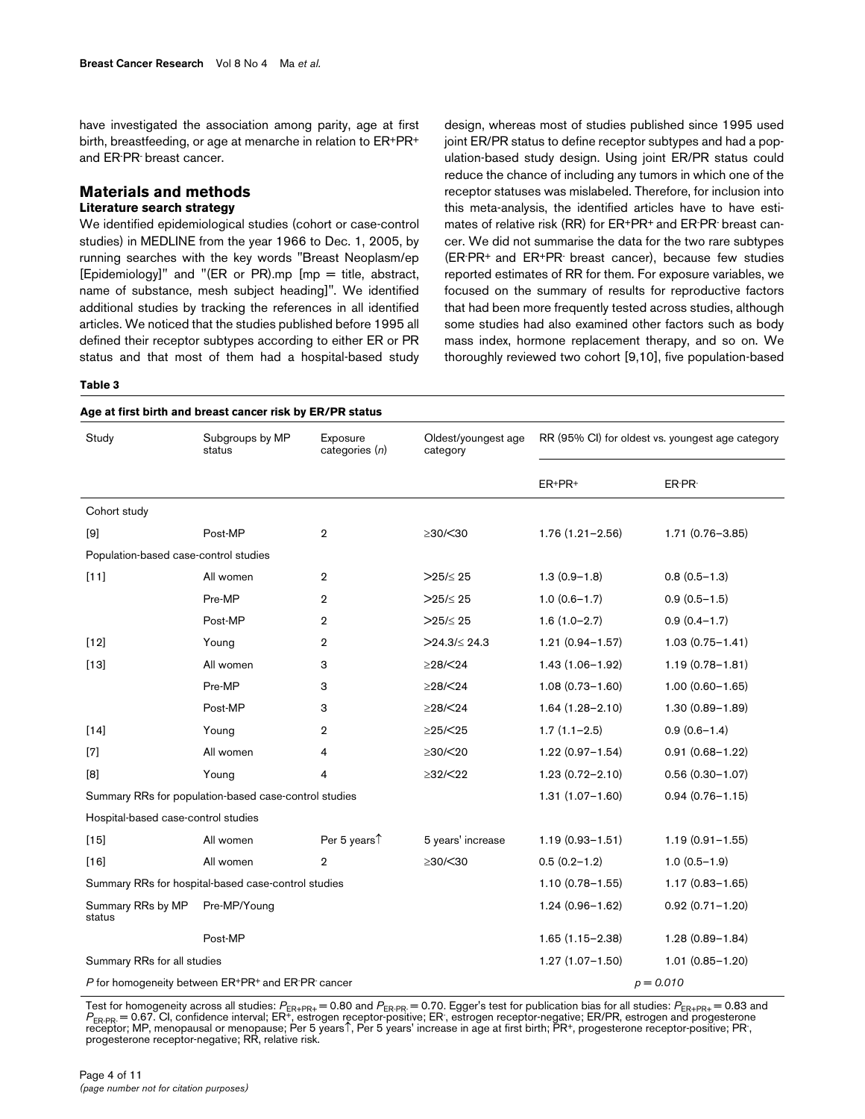have investigated the association among parity, age at first birth, breastfeeding, or age at menarche in relation to ER+PR+ and ER-PR- breast cancer.

### **Materials and methods Literature search strategy**

We identified epidemiological studies (cohort or case-control studies) in MEDLINE from the year 1966 to Dec. 1, 2005, by running searches with the key words "Breast Neoplasm/ep [Epidemiology]" and "(ER or PR).mp [mp = title, abstract, name of substance, mesh subject heading]". We identified additional studies by tracking the references in all identified articles. We noticed that the studies published before 1995 all defined their receptor subtypes according to either ER or PR status and that most of them had a hospital-based study design, whereas most of studies published since 1995 used joint ER/PR status to define receptor subtypes and had a population-based study design. Using joint ER/PR status could reduce the chance of including any tumors in which one of the receptor statuses was mislabeled. Therefore, for inclusion into this meta-analysis, the identified articles have to have estimates of relative risk (RR) for ER+PR+ and ER-PR- breast cancer. We did not summarise the data for the two rare subtypes (ER-PR+ and ER+PR- breast cancer), because few studies reported estimates of RR for them. For exposure variables, we focused on the summary of results for reproductive factors that had been more frequently tested across studies, although some studies had also examined other factors such as body mass index, hormone replacement therapy, and so on. We thoroughly reviewed two cohort [9,10], five population-based

#### **Table 3**

#### **Age at first birth and breast cancer risk by ER/PR status**

| Study                                                            | Subgroups by MP<br>status                             | Exposure<br>categories (n) | Oldest/youngest age<br>category | RR (95% CI) for oldest vs. youngest age category |                     |  |  |
|------------------------------------------------------------------|-------------------------------------------------------|----------------------------|---------------------------------|--------------------------------------------------|---------------------|--|--|
|                                                                  |                                                       |                            |                                 | ER+PR+                                           | ER PR               |  |  |
| Cohort study                                                     |                                                       |                            |                                 |                                                  |                     |  |  |
| [9]                                                              | Post-MP                                               | $\overline{2}$             | $\geq$ 30/ $\leq$ 30            | $1.76(1.21 - 2.56)$                              | $1.71(0.76 - 3.85)$ |  |  |
| Population-based case-control studies                            |                                                       |                            |                                 |                                                  |                     |  |  |
| $[11]$                                                           | All women                                             | $\overline{2}$             | $>25/\leq 25$                   | $1.3(0.9-1.8)$                                   | $0.8(0.5 - 1.3)$    |  |  |
|                                                                  | Pre-MP                                                | $\overline{2}$             | $>25/\leq 25$                   | $1.0(0.6 - 1.7)$                                 | $0.9(0.5-1.5)$      |  |  |
|                                                                  | Post-MP                                               | $\overline{2}$             | $>25/\leq 25$                   | $1.6(1.0-2.7)$                                   | $0.9(0.4 - 1.7)$    |  |  |
| $[12]$                                                           | Young                                                 | $\overline{2}$             | $>24.3/\leq 24.3$               | 1.21 (0.94-1.57)                                 | $1.03(0.75 - 1.41)$ |  |  |
| $[13]$                                                           | All women                                             | 3                          | $\geq$ 28/ $\leq$ 24            | $1.43(1.06 - 1.92)$                              | $1.19(0.78 - 1.81)$ |  |  |
|                                                                  | Pre-MP                                                | 3                          | $\geq$ 28/ $\leq$ 24            | $1.08(0.73 - 1.60)$                              | $1.00(0.60 - 1.65)$ |  |  |
|                                                                  | Post-MP                                               | 3                          | $\geq$ 28/ $\leq$ 24            | $1.64(1.28 - 2.10)$                              | $1.30(0.89 - 1.89)$ |  |  |
| $[14]$                                                           | Young                                                 | $\overline{2}$             | $\geq$ 25/ $\leq$ 25            | $1.7(1.1-2.5)$                                   | $0.9(0.6-1.4)$      |  |  |
| $[7]$                                                            | All women                                             | 4                          | $\geq$ 30/ $\leq$ 20            | $1.22(0.97 - 1.54)$                              | $0.91(0.68 - 1.22)$ |  |  |
| [8]                                                              | Young                                                 | 4                          | $\geq$ 32/ $\leq$ 22            | $1.23(0.72 - 2.10)$                              | $0.56(0.30 - 1.07)$ |  |  |
|                                                                  | Summary RRs for population-based case-control studies | $1.31(1.07 - 1.60)$        | $0.94(0.76 - 1.15)$             |                                                  |                     |  |  |
| Hospital-based case-control studies                              |                                                       |                            |                                 |                                                  |                     |  |  |
| $[15]$                                                           | All women                                             | Per 5 years <sup>1</sup>   | 5 years' increase               | $1.19(0.93 - 1.51)$                              | $1.19(0.91 - 1.55)$ |  |  |
| $[16]$                                                           | All women                                             | $\overline{2}$             | ≥30/<30                         | $0.5(0.2 - 1.2)$                                 | $1.0(0.5-1.9)$      |  |  |
|                                                                  | Summary RRs for hospital-based case-control studies   | $1.10(0.78 - 1.55)$        | $1.17(0.83 - 1.65)$             |                                                  |                     |  |  |
| Summary RRs by MP<br>status                                      | Pre-MP/Young                                          |                            |                                 | $1.24(0.96 - 1.62)$                              | $0.92(0.71 - 1.20)$ |  |  |
|                                                                  | Post-MP                                               |                            |                                 | $1.65(1.15 - 2.38)$                              | $1.28(0.89 - 1.84)$ |  |  |
| Summary RRs for all studies                                      |                                                       |                            |                                 | $1.27(1.07 - 1.50)$                              | $1.01(0.85 - 1.20)$ |  |  |
| P for homogeneity between ER+PR+ and ER-PR cancer<br>$p = 0.010$ |                                                       |                            |                                 |                                                  |                     |  |  |

Test for homogeneity across all studies: P<sub>ER+PR+</sub> = 0.80 and P<sub>ER-PR</sub> = 0.70. Egger's test for publication bias for all studies: P<sub>ER+PR+</sub> = 0.83 and<br>P<sub>ER-PR</sub> = 0.67. Cl, confidence interval; ER+, estrogen receptor-positi progesterone receptor-negative; RR, relative risk.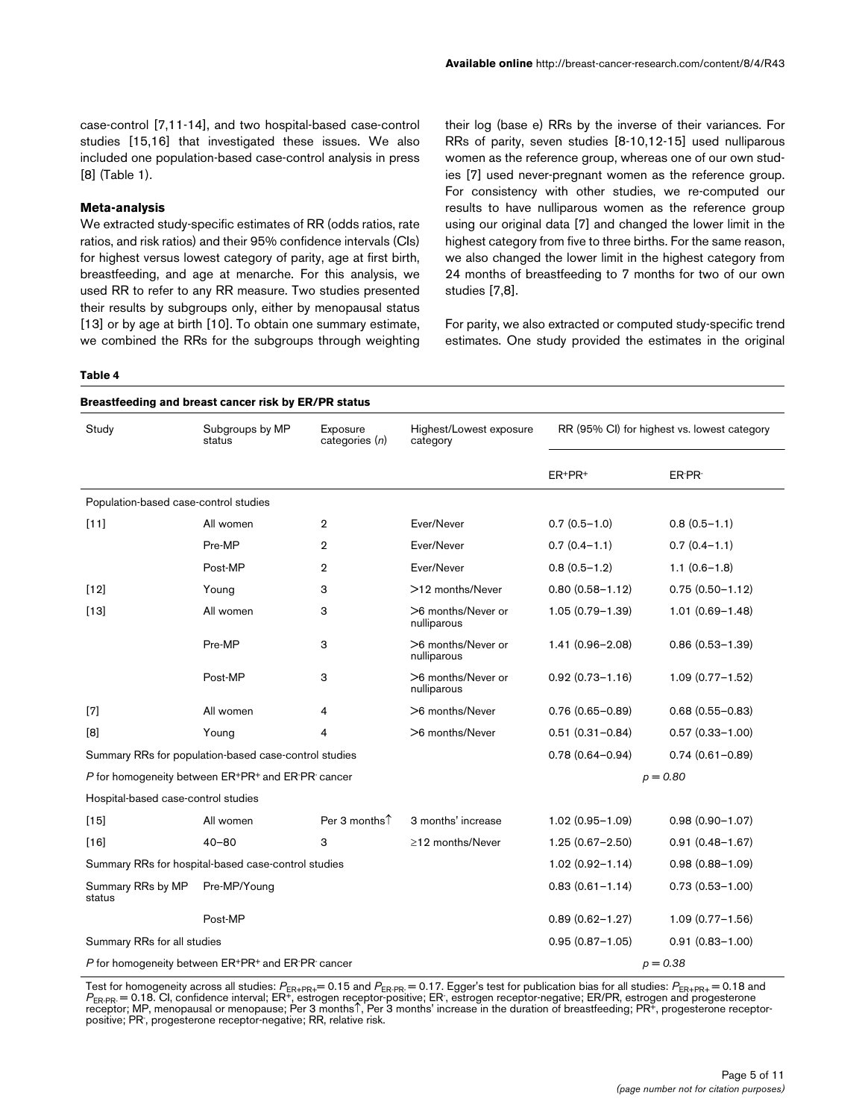case-control [7,11-14], and two hospital-based case-control studies [15,16] that investigated these issues. We also included one population-based case-control analysis in press [8] (Table 1).

# **Meta-analysis**

We extracted study-specific estimates of RR (odds ratios, rate ratios, and risk ratios) and their 95% confidence intervals (CIs) for highest versus lowest category of parity, age at first birth, breastfeeding, and age at menarche. For this analysis, we used RR to refer to any RR measure. Two studies presented their results by subgroups only, either by menopausal status [13] or by age at birth [10]. To obtain one summary estimate, we combined the RRs for the subgroups through weighting their log (base e) RRs by the inverse of their variances. For RRs of parity, seven studies [8-10,12-15] used nulliparous women as the reference group, whereas one of our own studies [7] used never-pregnant women as the reference group. For consistency with other studies, we re-computed our results to have nulliparous women as the reference group using our original data [7] and changed the lower limit in the highest category from five to three births. For the same reason, we also changed the lower limit in the highest category from 24 months of breastfeeding to 7 months for two of our own studies [7,8].

For parity, we also extracted or computed study-specific trend estimates. One study provided the estimates in the original

#### **Table 4**

| Study                                                                                               | Subgroups by MP<br>status                           | Exposure<br>categories (n) | Highest/Lowest exposure<br>category | RR (95% CI) for highest vs. lowest category |                     |  |
|-----------------------------------------------------------------------------------------------------|-----------------------------------------------------|----------------------------|-------------------------------------|---------------------------------------------|---------------------|--|
|                                                                                                     |                                                     |                            |                                     | ER+PR+                                      | ER-PR-              |  |
| Population-based case-control studies                                                               |                                                     |                            |                                     |                                             |                     |  |
| $[11]$                                                                                              | All women                                           | $\overline{2}$             | Ever/Never                          | $0.7(0.5 - 1.0)$                            | $0.8(0.5 - 1.1)$    |  |
|                                                                                                     | Pre-MP                                              | $\overline{2}$             | Ever/Never                          | $0.7(0.4 - 1.1)$                            | $0.7(0.4 - 1.1)$    |  |
|                                                                                                     | Post-MP                                             | $\overline{2}$             | Ever/Never                          | $0.8(0.5-1.2)$                              | $1.1(0.6-1.8)$      |  |
| $[12]$                                                                                              | Young                                               | 3                          | >12 months/Never                    | $0.80(0.58 - 1.12)$                         | $0.75(0.50 - 1.12)$ |  |
| $[13]$                                                                                              | All women                                           | 3                          | >6 months/Never or<br>nulliparous   | $1.05(0.79 - 1.39)$                         | $1.01(0.69 - 1.48)$ |  |
|                                                                                                     | Pre-MP                                              | 3                          | >6 months/Never or<br>nulliparous   | $1.41(0.96 - 2.08)$                         | $0.86(0.53 - 1.39)$ |  |
|                                                                                                     | Post-MP                                             | 3                          | >6 months/Never or<br>nulliparous   | $0.92(0.73 - 1.16)$                         | $1.09(0.77 - 1.52)$ |  |
| $[7]$                                                                                               | All women                                           | 4                          | >6 months/Never                     | $0.76(0.65 - 0.89)$                         | $0.68(0.55 - 0.83)$ |  |
| [8]                                                                                                 | Young                                               | 4                          | >6 months/Never                     | $0.51(0.31 - 0.84)$                         | $0.57(0.33 - 1.00)$ |  |
| $0.78(0.64 - 0.94)$<br>$0.74(0.61 - 0.89)$<br>Summary RRs for population-based case-control studies |                                                     |                            |                                     |                                             |                     |  |
|                                                                                                     | P for homogeneity between ER+PR+ and ER-PR cancer   |                            | $p = 0.80$                          |                                             |                     |  |
| Hospital-based case-control studies                                                                 |                                                     |                            |                                     |                                             |                     |  |
| $[15]$                                                                                              | All women                                           | Per 3 months <sup>1</sup>  | 3 months' increase                  | $1.02(0.95 - 1.09)$                         | $0.98(0.90 - 1.07)$ |  |
| $[16]$                                                                                              | $40 - 80$                                           | 3                          | $\geq$ 12 months/Never              | $1.25(0.67 - 2.50)$                         | $0.91(0.48 - 1.67)$ |  |
|                                                                                                     | Summary RRs for hospital-based case-control studies | $1.02(0.92 - 1.14)$        | $0.98(0.88 - 1.09)$                 |                                             |                     |  |
| Summary RRs by MP<br>status                                                                         | Pre-MP/Young                                        |                            |                                     | $0.83(0.61 - 1.14)$                         | $0.73(0.53 - 1.00)$ |  |
|                                                                                                     | Post-MP                                             |                            |                                     | $0.89(0.62 - 1.27)$                         | $1.09(0.77 - 1.56)$ |  |
| Summary RRs for all studies                                                                         |                                                     |                            |                                     | $0.95(0.87 - 1.05)$                         | $0.91(0.83 - 1.00)$ |  |
| P for homogeneity between ER+PR+ and ER-PR cancer<br>$p = 0.38$                                     |                                                     |                            |                                     |                                             |                     |  |

Test for homogeneity across all studies:  $P_{\sf ER+PR+}$  = 0.15 and  $P_{\sf ER+PR}$  = 0.17. Egger's test for publication bias for all studies:  $P_{\sf ER+PR+}$  = 0.18 and<br> $P_{\sf ER+PR}$  = 0.18. CI, confidence interval; ER+, estrogen recepto receptor; MP, menopausal or menopause; Per 3 months↑, Per 3 months' increase in the duration of breastfeeding; PR+, progesterone receptorpositive; PR- , progesterone receptor-negative; RR, relative risk.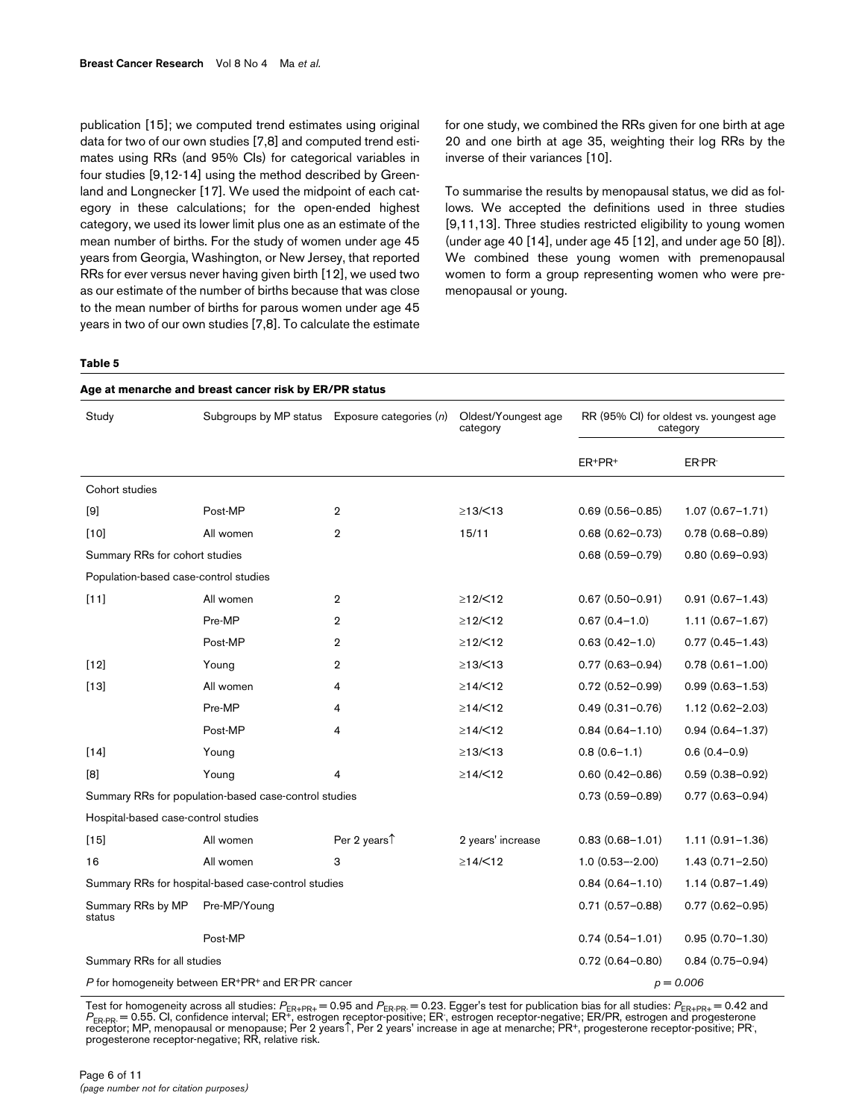publication [15]; we computed trend estimates using original data for two of our own studies [7,8] and computed trend estimates using RRs (and 95% CIs) for categorical variables in four studies [9,12-14] using the method described by Greenland and Longnecker [17]. We used the midpoint of each category in these calculations; for the open-ended highest category, we used its lower limit plus one as an estimate of the mean number of births. For the study of women under age 45 years from Georgia, Washington, or New Jersey, that reported RRs for ever versus never having given birth [12], we used two as our estimate of the number of births because that was close to the mean number of births for parous women under age 45 years in two of our own studies [7,8]. To calculate the estimate

for one study, we combined the RRs given for one birth at age 20 and one birth at age 35, weighting their log RRs by the inverse of their variances [10].

To summarise the results by menopausal status, we did as follows. We accepted the definitions used in three studies [9,11,13]. Three studies restricted eligibility to young women (under age 40 [14], under age 45 [12], and under age 50 [8]). We combined these young women with premenopausal women to form a group representing women who were premenopausal or young.

#### **Table 5**

| Age at menarche and breast cancer risk by ER/PR status |                                                       |                          |                                 |                                                     |                     |  |  |  |
|--------------------------------------------------------|-------------------------------------------------------|--------------------------|---------------------------------|-----------------------------------------------------|---------------------|--|--|--|
| Study                                                  | Subgroups by MP status Exposure categories $(n)$      |                          | Oldest/Youngest age<br>category | RR (95% CI) for oldest vs. youngest age<br>category |                     |  |  |  |
|                                                        |                                                       |                          |                                 | ER+PR+                                              | ER PR               |  |  |  |
| Cohort studies                                         |                                                       |                          |                                 |                                                     |                     |  |  |  |
| [9]                                                    | Post-MP                                               | $\overline{2}$           | $\geq$ 13/ $\leq$ 13            | $0.69(0.56 - 0.85)$                                 | $1.07(0.67 - 1.71)$ |  |  |  |
| $[10]$                                                 | All women                                             | $\overline{2}$           | 15/11                           | $0.68(0.62 - 0.73)$                                 | $0.78(0.68 - 0.89)$ |  |  |  |
| Summary RRs for cohort studies                         |                                                       |                          |                                 | $0.68(0.59 - 0.79)$                                 | $0.80(0.69 - 0.93)$ |  |  |  |
| Population-based case-control studies                  |                                                       |                          |                                 |                                                     |                     |  |  |  |
| $[11]$                                                 | All women                                             | $\overline{2}$           | $\geq$ 12/ $\leq$ 12            | $0.67(0.50 - 0.91)$                                 | $0.91(0.67 - 1.43)$ |  |  |  |
|                                                        | Pre-MP                                                | $\overline{2}$           | $\geq$ 12/ $\leq$ 12            | $0.67(0.4 - 1.0)$                                   | $1.11(0.67 - 1.67)$ |  |  |  |
|                                                        | Post-MP                                               | $\overline{2}$           | $\geq$ 12/ $\leq$ 12            | $0.63(0.42 - 1.0)$                                  | $0.77(0.45 - 1.43)$ |  |  |  |
| $[12]$                                                 | Young                                                 | $\overline{2}$           | $\geq$ 13/ $\leq$ 13            | $0.77(0.63 - 0.94)$                                 | $0.78(0.61 - 1.00)$ |  |  |  |
| $[13]$                                                 | All women                                             | 4                        | $\geq$ 14/ $\leq$ 12            | $0.72(0.52 - 0.99)$                                 | $0.99(0.63 - 1.53)$ |  |  |  |
|                                                        | Pre-MP                                                | 4                        | $\geq$ 14/ $\leq$ 12            | $0.49(0.31 - 0.76)$                                 | $1.12(0.62 - 2.03)$ |  |  |  |
|                                                        | Post-MP                                               | 4                        | $\geq$ 14/ $\leq$ 12            | $0.84(0.64 - 1.10)$                                 | $0.94(0.64 - 1.37)$ |  |  |  |
| $[14]$                                                 | Young                                                 |                          | $\geq$ 13/ $\leq$ 13            | $0.8(0.6-1.1)$                                      | $0.6(0.4-0.9)$      |  |  |  |
| [8]                                                    | Young                                                 | 4                        | $\geq$ 14/ $\leq$ 12            | $0.60(0.42 - 0.86)$                                 | $0.59(0.38 - 0.92)$ |  |  |  |
|                                                        | Summary RRs for population-based case-control studies |                          |                                 | $0.73(0.59 - 0.89)$                                 | $0.77(0.63 - 0.94)$ |  |  |  |
| Hospital-based case-control studies                    |                                                       |                          |                                 |                                                     |                     |  |  |  |
| $[15]$                                                 | All women                                             | Per 2 years <sup>1</sup> | 2 years' increase               | $0.83(0.68 - 1.01)$                                 | $1.11(0.91 - 1.36)$ |  |  |  |
| 16                                                     | All women                                             | 3                        | $\geq$ 14/ $\leq$ 12            | $1.0(0.53 - 2.00)$                                  | $1.43(0.71 - 2.50)$ |  |  |  |
|                                                        | Summary RRs for hospital-based case-control studies   | $0.84(0.64 - 1.10)$      | $1.14(0.87 - 1.49)$             |                                                     |                     |  |  |  |
| Summary RRs by MP<br>status                            | Pre-MP/Young                                          |                          |                                 | $0.71(0.57 - 0.88)$                                 | $0.77(0.62 - 0.95)$ |  |  |  |
|                                                        | Post-MP                                               |                          |                                 | $0.74(0.54 - 1.01)$                                 | $0.95(0.70 - 1.30)$ |  |  |  |
| Summary RRs for all studies                            |                                                       |                          | $0.72(0.64 - 0.80)$             | $0.84(0.75 - 0.94)$                                 |                     |  |  |  |
|                                                        | P for homogeneity between ER+PR+ and ER PR cancer     | $p = 0.006$              |                                 |                                                     |                     |  |  |  |

Test for homogeneity across all studies:  $P_{\sf ER+PR+}$  = 0.95 and  $P_{\sf ER+PR}$  = 0.23. Egger's test for publication bias for all studies:  $P_{\sf ER+PR+}$  = 0.42 and<br> $P_{\sf ER+PR}$  = 0.55. Cl, confidence interval; ER+, estrogen recepto receptor; MP, menopausal or menopause; Per 2 years↑, Per 2 years' increase in age at menarche; PR+, progesterone receptor-positive; PR- , progesterone receptor-negative; RR, relative risk.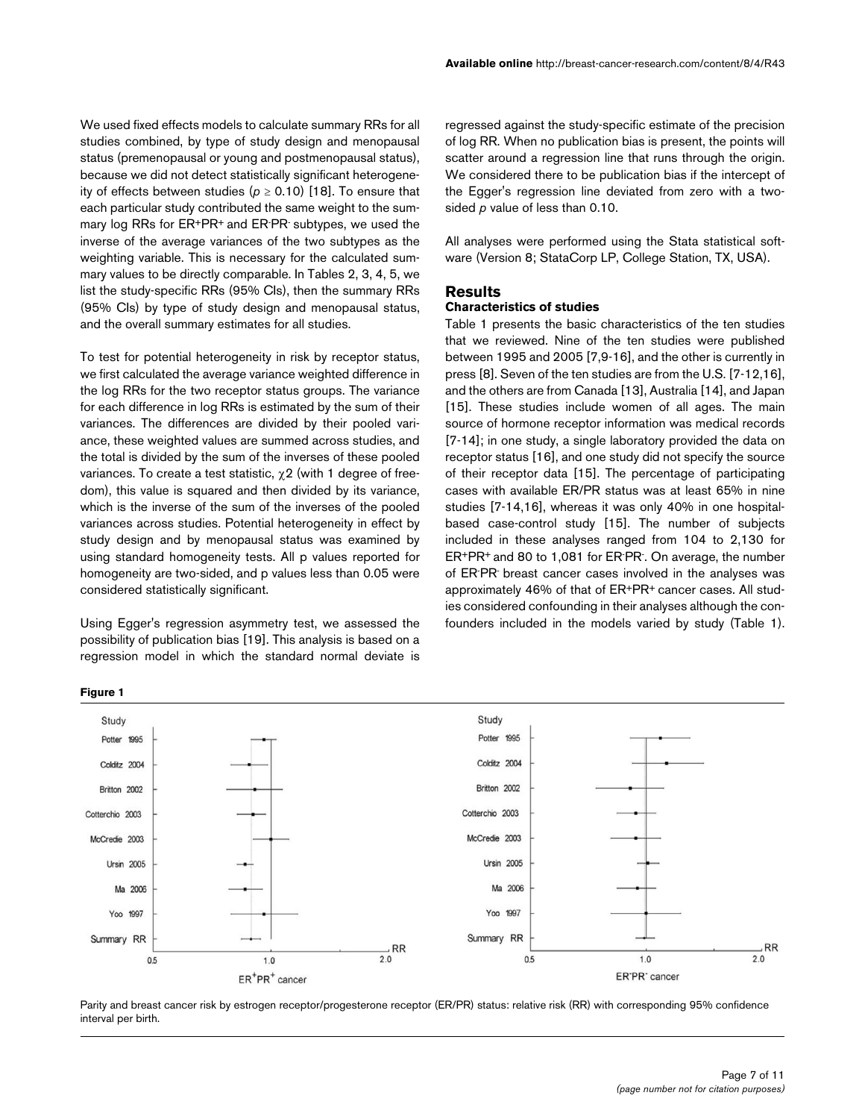We used fixed effects models to calculate summary RRs for all studies combined, by type of study design and menopausal status (premenopausal or young and postmenopausal status), because we did not detect statistically significant heterogeneity of effects between studies ( $p \ge 0.10$ ) [18]. To ensure that each particular study contributed the same weight to the summary log RRs for ER+PR+ and ER-PR- subtypes, we used the inverse of the average variances of the two subtypes as the weighting variable. This is necessary for the calculated summary values to be directly comparable. In Tables 2, 3, 4, 5, we list the study-specific RRs (95% CIs), then the summary RRs (95% CIs) by type of study design and menopausal status, and the overall summary estimates for all studies.

To test for potential heterogeneity in risk by receptor status, we first calculated the average variance weighted difference in the log RRs for the two receptor status groups. The variance for each difference in log RRs is estimated by the sum of their variances. The differences are divided by their pooled variance, these weighted values are summed across studies, and the total is divided by the sum of the inverses of these pooled variances. To create a test statistic, χ2 (with 1 degree of freedom), this value is squared and then divided by its variance, which is the inverse of the sum of the inverses of the pooled variances across studies. Potential heterogeneity in effect by study design and by menopausal status was examined by using standard homogeneity tests. All p values reported for homogeneity are two-sided, and p values less than 0.05 were considered statistically significant.

Using Egger's regression asymmetry test, we assessed the possibility of publication bias [19]. This analysis is based on a regression model in which the standard normal deviate is

regressed against the study-specific estimate of the precision of log RR. When no publication bias is present, the points will scatter around a regression line that runs through the origin. We considered there to be publication bias if the intercept of the Egger's regression line deviated from zero with a twosided *p* value of less than 0.10.

All analyses were performed using the Stata statistical software (Version 8; StataCorp LP, College Station, TX, USA).

### **Results**

# **Characteristics of studies**

Table 1 presents the basic characteristics of the ten studies that we reviewed. Nine of the ten studies were published between 1995 and 2005 [7,9-16], and the other is currently in press [8]. Seven of the ten studies are from the U.S. [7-12,16], and the others are from Canada [13], Australia [14], and Japan [15]. These studies include women of all ages. The main source of hormone receptor information was medical records [7-14]; in one study, a single laboratory provided the data on receptor status [16], and one study did not specify the source of their receptor data [15]. The percentage of participating cases with available ER/PR status was at least 65% in nine studies [7-14,16], whereas it was only 40% in one hospitalbased case-control study [15]. The number of subjects included in these analyses ranged from 104 to 2,130 for ER+PR+ and 80 to 1,081 for ER<sup>-</sup>PR<sup>-</sup>. On average, the number of ER-PR- breast cancer cases involved in the analyses was approximately 46% of that of ER+PR+ cancer cases. All studies considered confounding in their analyses although the confounders included in the models varied by study (Table 1).



Parity and breast cancer risk by estrogen receptor/progesterone receptor (ER/PR) status: relative risk (RR) with corresponding 95% confidence interval per birth.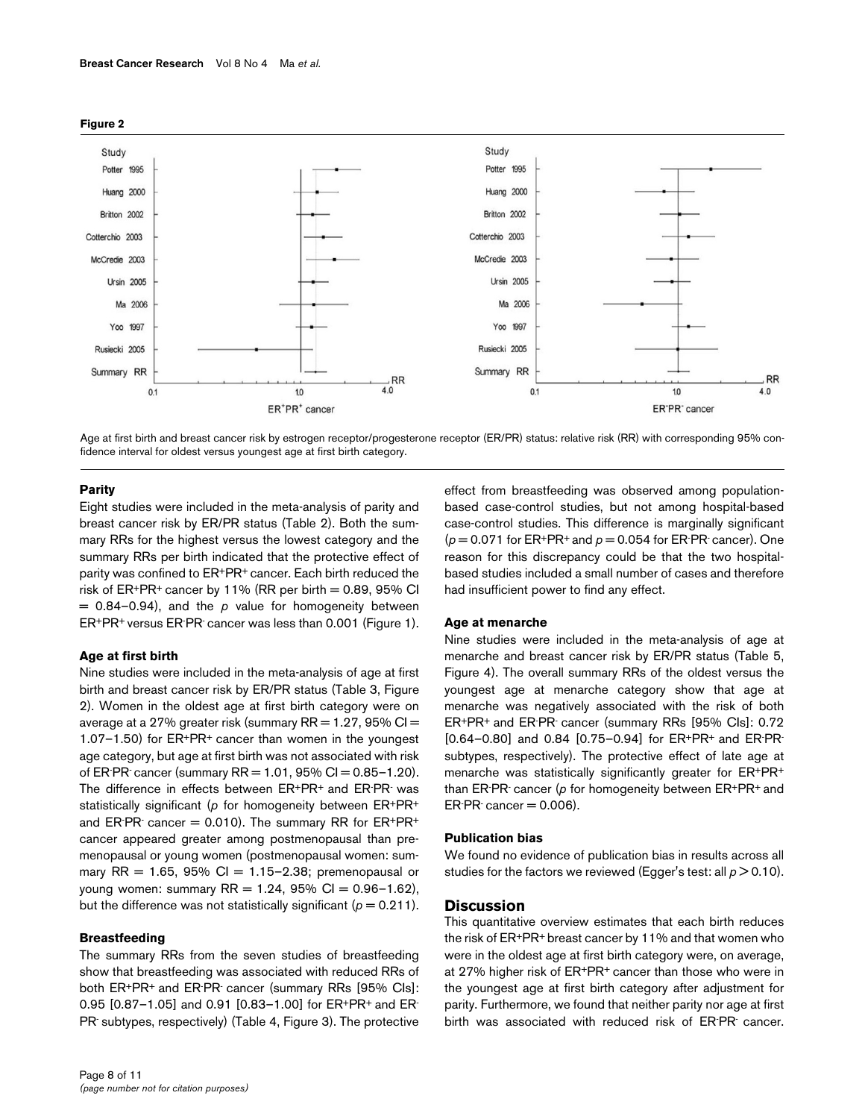

**Figure 2**

Age at first birth and breast cancer risk by estrogen receptor/progesterone receptor (ER/PR) status: relative risk (RR) with corresponding 95% confidence interval for oldest versus youngest age at first birth category.

### **Parity**

Eight studies were included in the meta-analysis of parity and breast cancer risk by ER/PR status (Table 2). Both the summary RRs for the highest versus the lowest category and the summary RRs per birth indicated that the protective effect of parity was confined to ER+PR+ cancer. Each birth reduced the risk of  $ER^+PR^+$  cancer by 11% (RR per birth = 0.89, 95% CI  $= 0.84 - 0.94$ , and the  $p$  value for homogeneity between ER+PR+ versus ER-PR- cancer was less than 0.001 (Figure 1).

#### **Age at first birth**

Nine studies were included in the meta-analysis of age at first birth and breast cancer risk by ER/PR status (Table 3, Figure 2). Women in the oldest age at first birth category were on average at a 27% greater risk (summary  $RR = 1.27$ , 95%  $Cl =$ 1.07–1.50) for ER+PR+ cancer than women in the youngest age category, but age at first birth was not associated with risk of ER-PR- cancer (summary RR = 1.01, 95% CI = 0.85–1.20). The difference in effects between ER+PR+ and ER<sup>-</sup>PR was statistically significant (*p* for homogeneity between ER+PR+ and ER-PR- cancer = 0.010). The summary RR for ER+PR+ cancer appeared greater among postmenopausal than premenopausal or young women (postmenopausal women: summary  $RR = 1.65$ , 95%  $Cl = 1.15 - 2.38$ ; premenopausal or young women: summary  $RR = 1.24$ , 95%  $Cl = 0.96 - 1.62$ ), but the difference was not statistically significant  $(p = 0.211)$ .

#### **Breastfeeding**

The summary RRs from the seven studies of breastfeeding show that breastfeeding was associated with reduced RRs of both ER+PR+ and ER-PR- cancer (summary RRs [95% CIs]: 0.95 [0.87–1.05] and 0.91 [0.83–1.00] for ER+PR+ and ER-PR- subtypes, respectively) (Table 4, Figure 3). The protective effect from breastfeeding was observed among populationbased case-control studies, but not among hospital-based case-control studies. This difference is marginally significant  $(p = 0.071$  for  $ER^+PR^+$  and  $p = 0.054$  for  $ER^+PR^-$  cancer). One reason for this discrepancy could be that the two hospitalbased studies included a small number of cases and therefore had insufficient power to find any effect.

#### **Age at menarche**

Nine studies were included in the meta-analysis of age at menarche and breast cancer risk by ER/PR status (Table 5, Figure 4). The overall summary RRs of the oldest versus the youngest age at menarche category show that age at menarche was negatively associated with the risk of both ER+PR+ and ER-PR- cancer (summary RRs [95% CIs]: 0.72 [0.64-0.80] and 0.84 [0.75-0.94] for ER<sup>+</sup>PR<sup>+</sup> and ER<sup>-</sup>PR<sup>-</sup> subtypes, respectively). The protective effect of late age at menarche was statistically significantly greater for ER+PR+ than ER-PR- cancer (*p* for homogeneity between ER+PR+ and  $ER$ <sup>-</sup> $PR$ <sup>-</sup> cancer = 0.006).

### **Publication bias**

We found no evidence of publication bias in results across all studies for the factors we reviewed (Egger's test: all *p* > 0.10).

### **Discussion**

This quantitative overview estimates that each birth reduces the risk of ER+PR+ breast cancer by 11% and that women who were in the oldest age at first birth category were, on average, at 27% higher risk of ER+PR+ cancer than those who were in the youngest age at first birth category after adjustment for parity. Furthermore, we found that neither parity nor age at first birth was associated with reduced risk of ER-PR- cancer.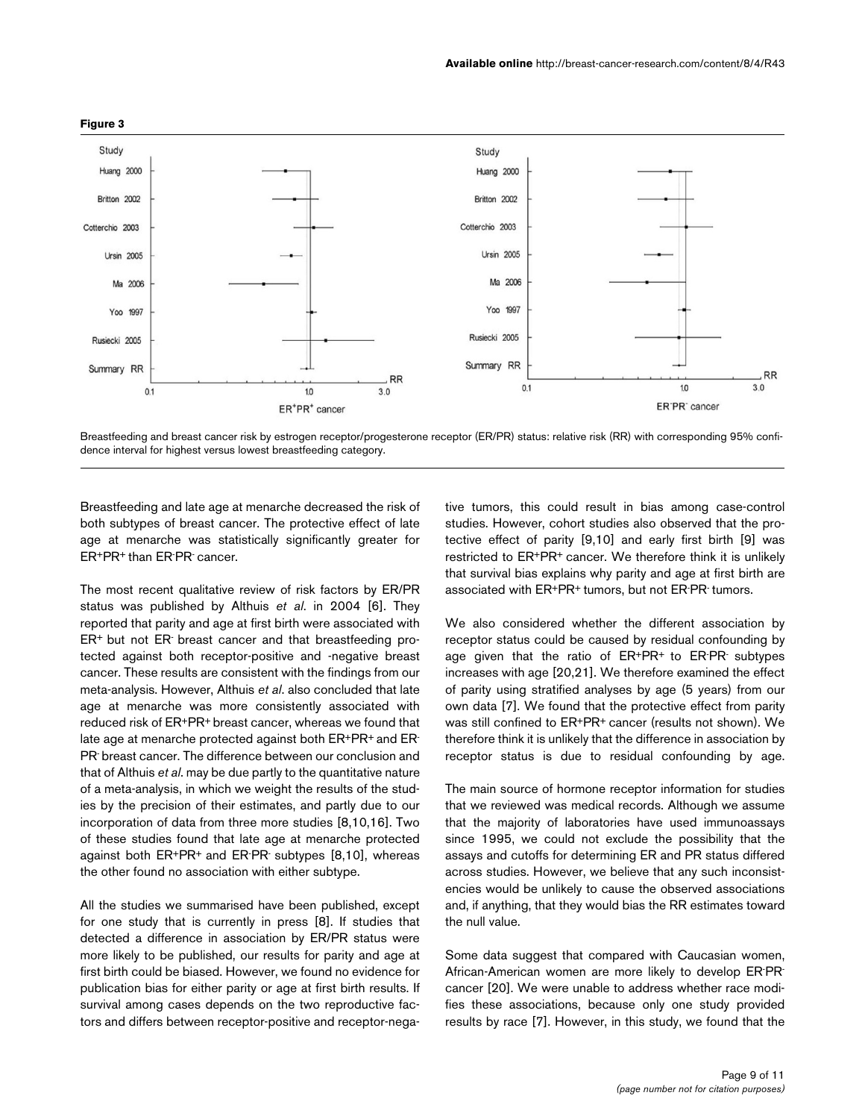

#### **Figure 3**

Breastfeeding and breast cancer risk by estrogen receptor/progesterone receptor (ER/PR) status: relative risk (RR) with corresponding 95% confidence interval for highest versus lowest breastfeeding category.

Breastfeeding and late age at menarche decreased the risk of both subtypes of breast cancer. The protective effect of late age at menarche was statistically significantly greater for ER+PR+ than ER-PR- cancer.

The most recent qualitative review of risk factors by ER/PR status was published by Althuis *et al*. in 2004 [6]. They reported that parity and age at first birth were associated with ER+ but not ER- breast cancer and that breastfeeding protected against both receptor-positive and -negative breast cancer. These results are consistent with the findings from our meta-analysis. However, Althuis *et al*. also concluded that late age at menarche was more consistently associated with reduced risk of ER+PR+ breast cancer, whereas we found that late age at menarche protected against both ER+PR+ and ER-PR- breast cancer. The difference between our conclusion and that of Althuis *et al*. may be due partly to the quantitative nature of a meta-analysis, in which we weight the results of the studies by the precision of their estimates, and partly due to our incorporation of data from three more studies [8,10,16]. Two of these studies found that late age at menarche protected against both ER+PR+ and ER-PR- subtypes [8,10], whereas the other found no association with either subtype.

All the studies we summarised have been published, except for one study that is currently in press [8]. If studies that detected a difference in association by ER/PR status were more likely to be published, our results for parity and age at first birth could be biased. However, we found no evidence for publication bias for either parity or age at first birth results. If survival among cases depends on the two reproductive factors and differs between receptor-positive and receptor-nega-

tive tumors, this could result in bias among case-control studies. However, cohort studies also observed that the protective effect of parity [9,10] and early first birth [9] was restricted to ER+PR+ cancer. We therefore think it is unlikely that survival bias explains why parity and age at first birth are associated with ER+PR+ tumors, but not ER-PR- tumors.

We also considered whether the different association by receptor status could be caused by residual confounding by age given that the ratio of ER+PR+ to ER-PR- subtypes increases with age [20,21]. We therefore examined the effect of parity using stratified analyses by age (5 years) from our own data [7]. We found that the protective effect from parity was still confined to ER+PR+ cancer (results not shown). We therefore think it is unlikely that the difference in association by receptor status is due to residual confounding by age.

The main source of hormone receptor information for studies that we reviewed was medical records. Although we assume that the majority of laboratories have used immunoassays since 1995, we could not exclude the possibility that the assays and cutoffs for determining ER and PR status differed across studies. However, we believe that any such inconsistencies would be unlikely to cause the observed associations and, if anything, that they would bias the RR estimates toward the null value.

Some data suggest that compared with Caucasian women, African-American women are more likely to develop ER-PRcancer [20]. We were unable to address whether race modifies these associations, because only one study provided results by race [7]. However, in this study, we found that the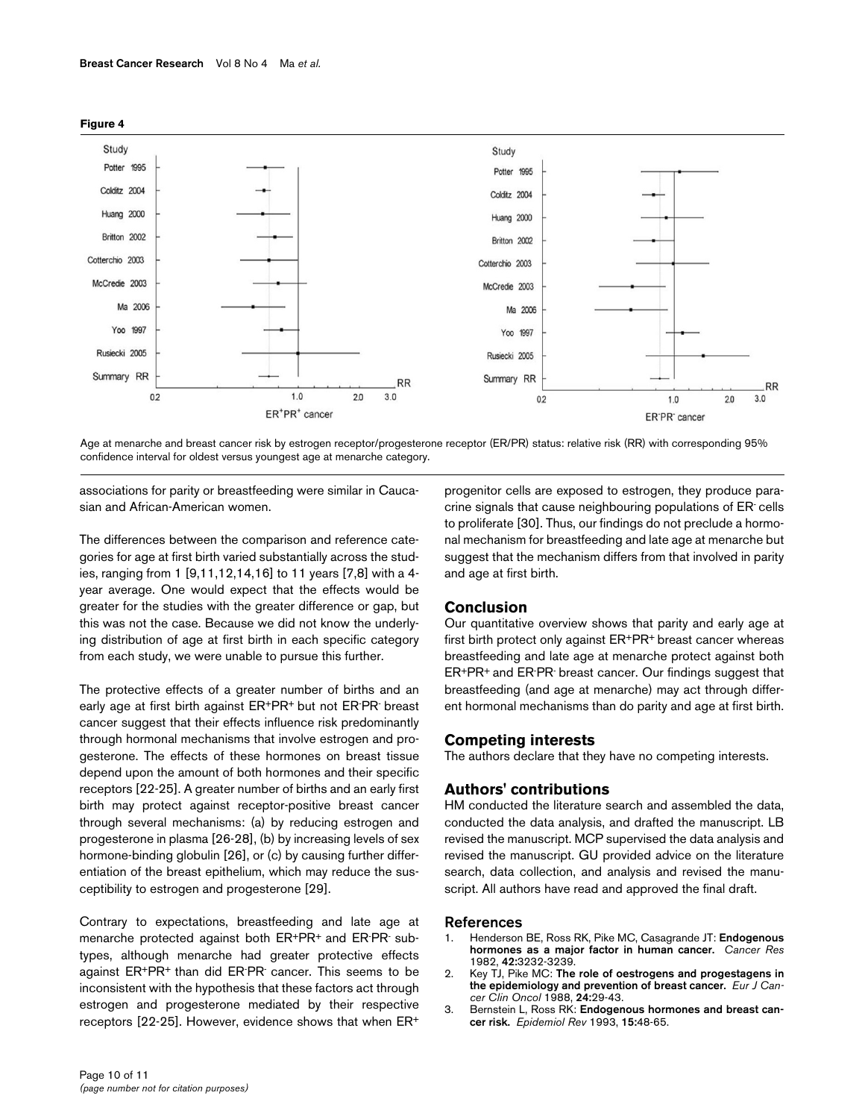

**Figure 4**

Age at menarche and breast cancer risk by estrogen receptor/progesterone receptor (ER/PR) status: relative risk (RR) with corresponding 95% confidence interval for oldest versus youngest age at menarche category.

associations for parity or breastfeeding were similar in Caucasian and African-American women.

The differences between the comparison and reference categories for age at first birth varied substantially across the studies, ranging from 1 [9,11,12,14,16] to 11 years [7,8] with a 4 year average. One would expect that the effects would be greater for the studies with the greater difference or gap, but this was not the case. Because we did not know the underlying distribution of age at first birth in each specific category from each study, we were unable to pursue this further.

The protective effects of a greater number of births and an early age at first birth against ER+PR+ but not ER-PR- breast cancer suggest that their effects influence risk predominantly through hormonal mechanisms that involve estrogen and progesterone. The effects of these hormones on breast tissue depend upon the amount of both hormones and their specific receptors [22-25]. A greater number of births and an early first birth may protect against receptor-positive breast cancer through several mechanisms: (a) by reducing estrogen and progesterone in plasma [26-28], (b) by increasing levels of sex hormone-binding globulin [26], or (c) by causing further differentiation of the breast epithelium, which may reduce the susceptibility to estrogen and progesterone [29].

Contrary to expectations, breastfeeding and late age at menarche protected against both ER+PR+ and ER<sup>-</sup>PR subtypes, although menarche had greater protective effects against ER+PR+ than did ER-PR- cancer. This seems to be inconsistent with the hypothesis that these factors act through estrogen and progesterone mediated by their respective receptors [22-25]. However, evidence shows that when ER+ progenitor cells are exposed to estrogen, they produce paracrine signals that cause neighbouring populations of ER- cells to proliferate [30]. Thus, our findings do not preclude a hormonal mechanism for breastfeeding and late age at menarche but suggest that the mechanism differs from that involved in parity and age at first birth.

# **Conclusion**

Our quantitative overview shows that parity and early age at first birth protect only against ER+PR+ breast cancer whereas breastfeeding and late age at menarche protect against both ER+PR+ and ER<sup>-</sup>PR<sup>-</sup> breast cancer. Our findings suggest that breastfeeding (and age at menarche) may act through different hormonal mechanisms than do parity and age at first birth.

### **Competing interests**

The authors declare that they have no competing interests.

# **Authors' contributions**

HM conducted the literature search and assembled the data, conducted the data analysis, and drafted the manuscript. LB revised the manuscript. MCP supervised the data analysis and revised the manuscript. GU provided advice on the literature search, data collection, and analysis and revised the manuscript. All authors have read and approved the final draft.

### **References**

- 1. Henderson BE, Ross RK, Pike MC, Casagrande JT: **[Endogenous](http://www.ncbi.nlm.nih.gov/entrez/query.fcgi?cmd=Retrieve&db=PubMed&dopt=Abstract&list_uids=7046921) [hormones as a major factor in human cancer.](http://www.ncbi.nlm.nih.gov/entrez/query.fcgi?cmd=Retrieve&db=PubMed&dopt=Abstract&list_uids=7046921)** *Cancer Res* 1982, **42:**3232-3239.
- 2. Key TJ, Pike MC: **[The role of oestrogens and progestagens in](http://www.ncbi.nlm.nih.gov/entrez/query.fcgi?cmd=Retrieve&db=PubMed&dopt=Abstract&list_uids=3276531) [the epidemiology and prevention of breast cancer.](http://www.ncbi.nlm.nih.gov/entrez/query.fcgi?cmd=Retrieve&db=PubMed&dopt=Abstract&list_uids=3276531)** *Eur J Cancer Clin Oncol* 1988, **24:**29-43.
- 3. Bernstein L, Ross RK: **[Endogenous hormones and breast can](http://www.ncbi.nlm.nih.gov/entrez/query.fcgi?cmd=Retrieve&db=PubMed&dopt=Abstract&list_uids=8405212)[cer risk.](http://www.ncbi.nlm.nih.gov/entrez/query.fcgi?cmd=Retrieve&db=PubMed&dopt=Abstract&list_uids=8405212)** *Epidemiol Rev* 1993, **15:**48-65.